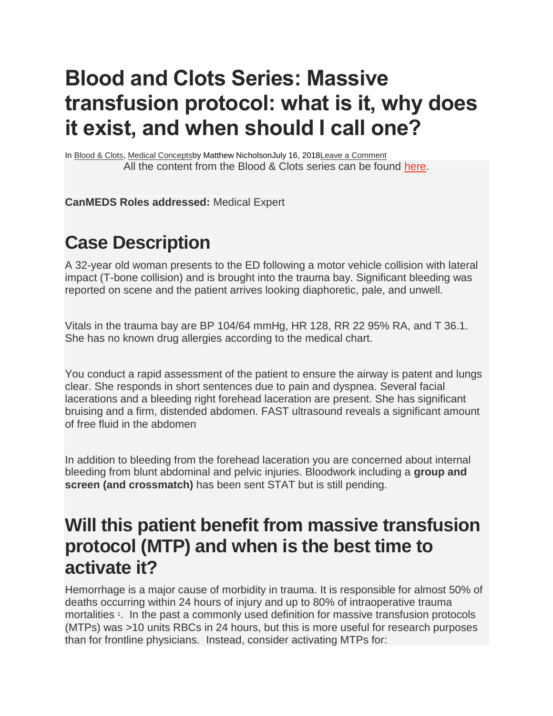## **Blood and Clots Series: Massive transfusion protocol: what is it, why does it exist, and when should I call one?**

In [Blood & Clots,](https://canadiem.org/category/all/medical/blood-clots/) [Medical Conceptsb](https://canadiem.org/category/all/medical/)y Matthew NicholsonJuly 16, 201[8Leave a Comment](https://canadiem.org/massive-transfusion-protocol-what-is-it-why-does-it-exist-and-when-should-i-call-one/#respond) All the content from the Blood & Clots series can be found [here.](https://canadiem.org/bloodandclots/)

**CanMEDS Roles addressed:** Medical Expert

## **Case Description**

A 32-year old woman presents to the ED following a motor vehicle collision with lateral impact (T-bone collision) and is brought into the trauma bay. Significant bleeding was reported on scene and the patient arrives looking diaphoretic, pale, and unwell.

Vitals in the trauma bay are BP 104/64 mmHg, HR 128, RR 22 95% RA, and T 36.1. She has no known drug allergies according to the medical chart.

You conduct a rapid assessment of the patient to ensure the airway is patent and lungs clear. She responds in short sentences due to pain and dyspnea. Several facial lacerations and a bleeding right forehead laceration are present. She has significant bruising and a firm, distended abdomen. FAST ultrasound reveals a significant amount of free fluid in the abdomen

In addition to bleeding from the forehead laceration you are concerned about internal bleeding from blunt abdominal and pelvic injuries. Bloodwork including a **group and screen (and crossmatch)** has been sent STAT but is still pending.

#### **Will this patient benefit from massive transfusion protocol (MTP) and when is the best time to activate it?**

Hemorrhage is a major cause of morbidity in trauma. It is responsible for almost 50% of deaths occurring within 24 hours of injury and up to 80% of intraoperative trauma mortalities<sup>1</sup>. In the past a commonly used definition for massive transfusion protocols (MTPs) was >10 units RBCs in 24 hours, but this is more useful for research purposes than for frontline physicians. Instead, consider activating MTPs for: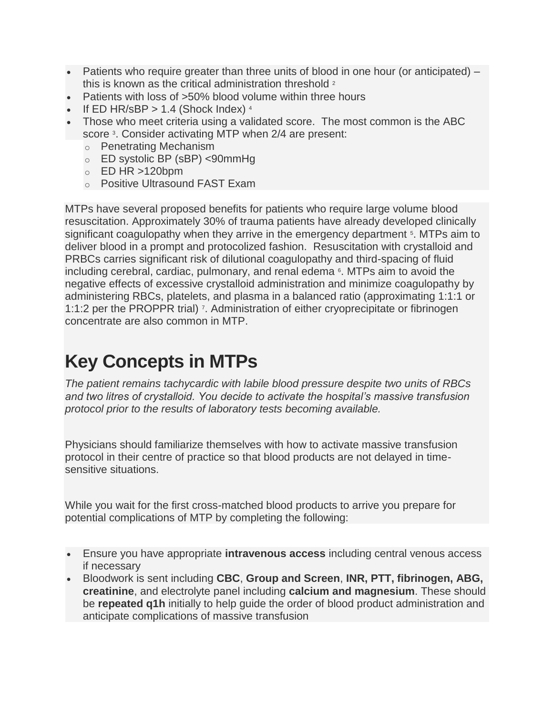- Patients who require greater than three units of blood in one hour (or anticipated) this is known as the critical administration threshold <sup>2</sup>
- Patients with loss of >50% blood volume within three hours
- If ED HR/sBP  $> 1.4$  (Shock Index)  $4$
- Those who meet criteria using a validated score. The most common is the ABC score<sup>3</sup>. Consider activating MTP when 2/4 are present:
	- o Penetrating Mechanism
	- o ED systolic BP (sBP) <90mmHg
	- $\circ$  ED HR >120bpm
	- o Positive Ultrasound FAST Exam

MTPs have several proposed benefits for patients who require large volume blood resuscitation. Approximately 30% of trauma patients have already developed clinically significant coagulopathy when they arrive in the emergency department <sup>5</sup>. MTPs aim to deliver blood in a prompt and protocolized fashion. Resuscitation with crystalloid and PRBCs carries significant risk of dilutional coagulopathy and third-spacing of fluid including cerebral, cardiac, pulmonary, and renal edema 6. MTPs aim to avoid the negative effects of excessive crystalloid administration and minimize coagulopathy by administering RBCs, platelets, and plasma in a balanced ratio (approximating 1:1:1 or 1:1:2 per the PROPPR trial) 7. Administration of either cryoprecipitate or fibrinogen concentrate are also common in MTP.

## **Key Concepts in MTPs**

*The patient remains tachycardic with labile blood pressure despite two units of RBCs and two litres of crystalloid. You decide to activate the hospital's massive transfusion protocol prior to the results of laboratory tests becoming available.*

Physicians should familiarize themselves with how to activate massive transfusion protocol in their centre of practice so that blood products are not delayed in timesensitive situations.

While you wait for the first cross-matched blood products to arrive you prepare for potential complications of MTP by completing the following:

- Ensure you have appropriate **intravenous access** including central venous access if necessary
- Bloodwork is sent including **CBC**, **Group and Screen**, **INR, PTT, fibrinogen, ABG, creatinine**, and electrolyte panel including **calcium and magnesium**. These should be **repeated q1h** initially to help guide the order of blood product administration and anticipate complications of massive transfusion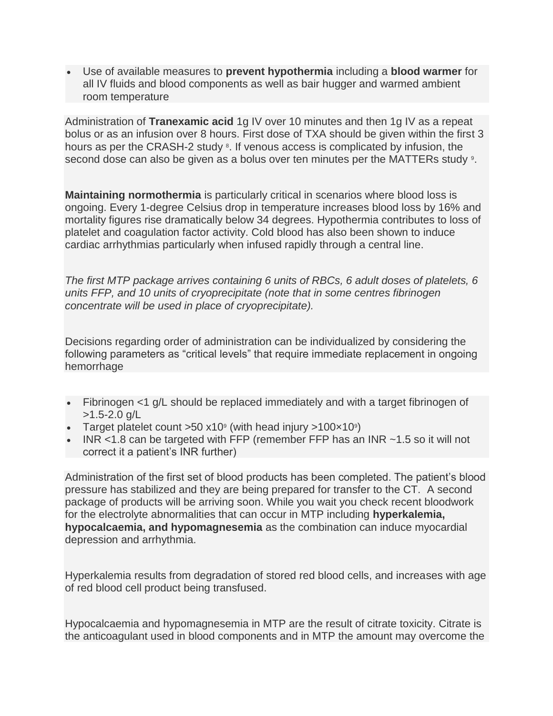• Use of available measures to **prevent hypothermia** including a **blood warmer** for all IV fluids and blood components as well as bair hugger and warmed ambient room temperature

Administration of **Tranexamic acid** 1g IV over 10 minutes and then 1g IV as a repeat bolus or as an infusion over 8 hours. First dose of TXA should be given within the first 3 hours as per the CRASH-2 study <sup>8</sup>. If venous access is complicated by infusion, the second dose can also be given as a bolus over ten minutes per the MATTERs study <sup>9</sup>.

**Maintaining normothermia** is particularly critical in scenarios where blood loss is ongoing. Every 1-degree Celsius drop in temperature increases blood loss by 16% and mortality figures rise dramatically below 34 degrees. Hypothermia contributes to loss of platelet and coagulation factor activity. Cold blood has also been shown to induce cardiac arrhythmias particularly when infused rapidly through a central line.

*The first MTP package arrives containing 6 units of RBCs, 6 adult doses of platelets, 6 units FFP, and 10 units of cryoprecipitate (note that in some centres fibrinogen concentrate will be used in place of cryoprecipitate).*

Decisions regarding order of administration can be individualized by considering the following parameters as "critical levels" that require immediate replacement in ongoing hemorrhage

- Fibrinogen <1 g/L should be replaced immediately and with a target fibrinogen of  $>1.5 - 2.0$  g/L
- Target platelet count  $>50$  x10<sup>9</sup> (with head injury  $>100 \times 10^9$ )
- INR <1.8 can be targeted with FFP (remember FFP has an INR  $\sim$ 1.5 so it will not correct it a patient's INR further)

Administration of the first set of blood products has been completed. The patient's blood pressure has stabilized and they are being prepared for transfer to the CT. A second package of products will be arriving soon. While you wait you check recent bloodwork for the electrolyte abnormalities that can occur in MTP including **hyperkalemia, hypocalcaemia, and hypomagnesemia** as the combination can induce myocardial depression and arrhythmia.

Hyperkalemia results from degradation of stored red blood cells, and increases with age of red blood cell product being transfused.

Hypocalcaemia and hypomagnesemia in MTP are the result of citrate toxicity. Citrate is the anticoagulant used in blood components and in MTP the amount may overcome the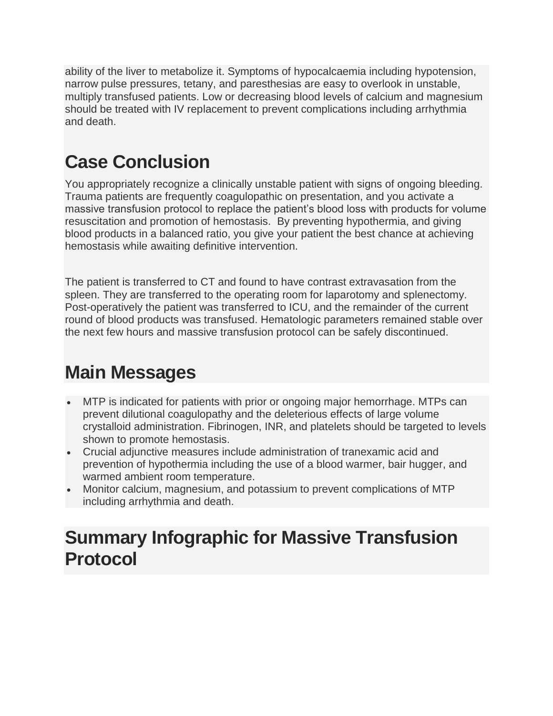ability of the liver to metabolize it. Symptoms of hypocalcaemia including hypotension, narrow pulse pressures, tetany, and paresthesias are easy to overlook in unstable, multiply transfused patients. Low or decreasing blood levels of calcium and magnesium should be treated with IV replacement to prevent complications including arrhythmia and death.

## **Case Conclusion**

You appropriately recognize a clinically unstable patient with signs of ongoing bleeding. Trauma patients are frequently coagulopathic on presentation, and you activate a massive transfusion protocol to replace the patient's blood loss with products for volume resuscitation and promotion of hemostasis. By preventing hypothermia, and giving blood products in a balanced ratio, you give your patient the best chance at achieving hemostasis while awaiting definitive intervention.

The patient is transferred to CT and found to have contrast extravasation from the spleen. They are transferred to the operating room for laparotomy and splenectomy. Post-operatively the patient was transferred to ICU, and the remainder of the current round of blood products was transfused. Hematologic parameters remained stable over the next few hours and massive transfusion protocol can be safely discontinued.

## **Main Messages**

- MTP is indicated for patients with prior or ongoing major hemorrhage. MTPs can prevent dilutional coagulopathy and the deleterious effects of large volume crystalloid administration. Fibrinogen, INR, and platelets should be targeted to levels shown to promote hemostasis.
- Crucial adjunctive measures include administration of tranexamic acid and prevention of hypothermia including the use of a blood warmer, bair hugger, and warmed ambient room temperature.
- Monitor calcium, magnesium, and potassium to prevent complications of MTP including arrhythmia and death.

#### **Summary Infographic for Massive Transfusion Protocol**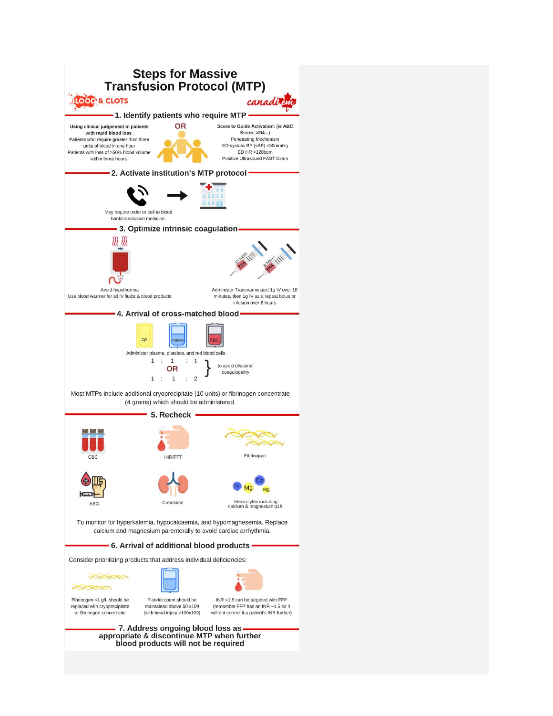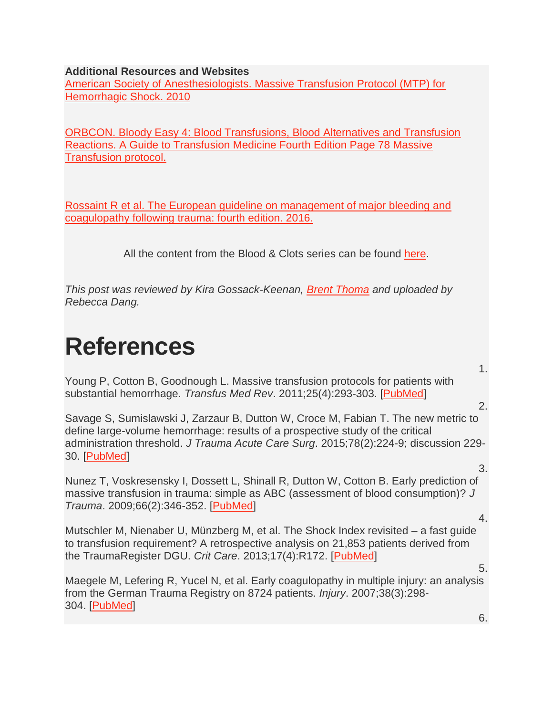**Additional Resources and Websites**

[American Society of Anesthesiologists. Massive Transfusion Protocol \(MTP\) for](https://www.asahq.org/resources/resources-from-asa-committees/committee-on-patient-blood-management/mtp-for-hemorrhagic-shock)  [Hemorrhagic Shock. 2010](https://www.asahq.org/resources/resources-from-asa-committees/committee-on-patient-blood-management/mtp-for-hemorrhagic-shock)

[ORBCON. Bloody Easy 4: Blood Transfusions, Blood Alternatives and Transfusion](http://transfusionontario.org/en/documents/?cat=bloody_easy)  [Reactions. A Guide to Transfusion Medicine Fourth Edition Page 78 Massive](http://transfusionontario.org/en/documents/?cat=bloody_easy)  [Transfusion protocol.](http://transfusionontario.org/en/documents/?cat=bloody_easy)

[Rossaint R et al. The European guideline on management of major bleeding and](https://ccforum.biomedcentral.com/articles/10.1186/s13054-016-1265-x)  [coagulopathy following trauma: fourth edition. 2016.](https://ccforum.biomedcentral.com/articles/10.1186/s13054-016-1265-x)

All the content from the Blood & Clots series can be found [here.](https://canadiem.org/bloodandclots/)

*This post was reviewed by Kira Gossack-Keenan, [Brent Thoma](https://twitter.com/Brent_Thoma?ref_src=twsrc%5Egoogle%7Ctwcamp%5Eserp%7Ctwgr%5Eauthor) and uploaded by Rebecca Dang.*

# **References**

Young P, Cotton B, Goodnough L. Massive transfusion protocols for patients with substantial hemorrhage. *Transfus Med Rev*. 2011;25(4):293-303. [\[PubMed\]](https://www.ncbi.nlm.nih.gov/pubmed/21664104)

2.

1.

Savage S, Sumislawski J, Zarzaur B, Dutton W, Croce M, Fabian T. The new metric to define large-volume hemorrhage: results of a prospective study of the critical administration threshold. *J Trauma Acute Care Surg*. 2015;78(2):224-9; discussion 229- 30. [\[PubMed\]](https://www.ncbi.nlm.nih.gov/pubmed/25757105)

Nunez T, Voskresensky I, Dossett L, Shinall R, Dutton W, Cotton B. Early prediction of massive transfusion in trauma: simple as ABC (assessment of blood consumption)? *J Trauma*. 2009;66(2):346-352. [\[PubMed\]](https://www.ncbi.nlm.nih.gov/pubmed/19204506)

4.

3.

Mutschler M, Nienaber U, Münzberg M, et al. The Shock Index revisited – a fast guide to transfusion requirement? A retrospective analysis on 21,853 patients derived from the TraumaRegister DGU. *Crit Care*. 2013;17(4):R172. [\[PubMed\]](https://www.ncbi.nlm.nih.gov/pubmed/23938104)

Maegele M, Lefering R, Yucel N, et al. Early coagulopathy in multiple injury: an analysis from the German Trauma Registry on 8724 patients. *Injury*. 2007;38(3):298- 304. [\[PubMed\]](https://www.ncbi.nlm.nih.gov/pubmed/17214989)

6.

5.